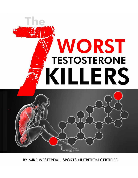# WORST **TESTOSTERONE** KILLERS

BY MIKE WESTERDAL, SPORTS NUTRITION CERTIFIED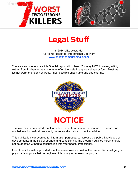



# **Legal Stuff**

© 2014 Mike Westerdal All Rights Reserved. International Copyright [www.endoftheamericanmale.com](http://store.asresearchlabs.com?p=criticalbench&w=tdvsl)

You are welcome to share this Special report with others. You may NOT, however, edit it, extract from it, change the contents or offer it for sale in any way shape or form. Trust me. It's not worth the felony charges, fines, possible prison time and bad charma.





The information presented is not intended for the treatment or prevention of disease, nor a substitute for medical treatment, nor as an alternative to medical advice.

This publication is presented for information purposes, to increase the public knowledge of developments in the field of strength and conditioning. The program outlined herein should not be adopted without a consultation with your health professional.

Use of the information provided is at the sole choice and risk of the reader. You must get your physician's approval before beginning this or any other exercise program.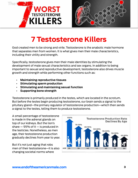



# **7 Testosterone Killers**

God created men to be strong and virile. Testosterone is the anabolic male hormone that separates men from women. It is what gives men their male characteristics, including their virility and strength.

Specifically, testosterone gives men their male identities by stimulating the development of male sexual characteristics and sex organs. In addition to being important to sexual and reproductive development, testosterone also drives muscle growth and strength while performing other functions such as:

- **• Maintaining reproductive tissues**
- **• Stimulating sperm production**
- **• Stimulating and maintaining sexual function**
- **• Supporting bone strength**

Testosterone is primarily produced in the testes, which are located in the scrotum. But before the testes begin producing testosterone, our brain sends a signal to the pituitary gland—the primary regulator of testosterone production—which then sends a signal to the testes, telling them to produce testosterone.

A small percentage of testosterone is made in the adrenal glands on top of our kidneys. But the lion's share  $-95%$  of it  $-$  is produced in the testicles. Nonetheless, as men age, their testosterone production gradually declines from year to year.

But it's not just aging that robs men of their testosterone—it is also changing societal norms where

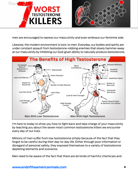



men are encouraged to repress our masculinity and even embrace our feminine side.

Likewise, the modern environment is toxic to men. Everyday, our bodies and spirits are under constant assault from testosterone-robbing enemies that slowly hammer away at our masculinity by inhibiting our God-given ability to naturally produce testosterone.



I'm here to today to show you how to fight back and take charge of your masculinity by teaching you about the seven most common testosterone killers we encounter every day of our lives.

Millions of men suffer from low testosterone simply because of the fact that they forgot to be careful during their day-to-day life. Either through poor information or disregard of personal safety, they exposed themselves to a variety of testosterone depleting elements and scenarios.

Men need to be aware of the fact that there are all kinds of harmful chemicals and

#### **[www.endoftheamericanmale.com](http://store.asresearchlabs.com?p=criticalbench&w=tdvsl)** 4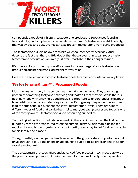



compounds capable of inhibiting testosterone production. Substances found in foods, drinks, and supplements can all decrease a man's testosterone. Additionally, many activities and daily events can also prevent testosterone from being produced.

The testosterone killers below are things we encounter nearly every day. And despite the fact that there is little doubt that these seven things can reduce male testosterone production, you rarely—if ever—read about their danger to men.

It's time you for you to arm yourself you need to take charge of your testosterone production and be the man God meant for you to be.

Here are the seven most common testosterone killers men encounter on a daily basis:

### **Testosterone Killer #1: Processed Foods**

Most men eat with very little concern as to what is in their food. They want a big portion of something tasty and satisfying and that's all that matters. While there is nothing wrong with enjoying a good meal, it is important to understand a little about how nutrition affects testosterone production. Eating everything under the sun can lead to some serious issues that can lower testosterone levels. There are a lot of different types of food that can be harmful to men, but eating processed foods is one of the most powerful testosterone killers assaulting our bodies.

Technological and industrial advancements in the food industry over the last couple hundred years have drastically altered the human lifestyle. Each man is no longer required to tend his own garden and go out hunting every day to put food on the table for his family and himself.

Today, to satisfy our hunger we head on down to the grocery store, pop into the local drive-through, pick up the phone or get online to place a to-go order, or dine in at our favorite restaurant.

The development of preservatives and advanced food processing techniques are two of the primary developments that make the mass distribution of food products possible.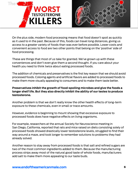



On the plus side, modern food processing means that food doesn't spoil as quickly as it used to in the past. Because of this, foods can travel long distances, giving us access to a greater variety of foods than was ever before possible. Lower costs and convenient access to food are two other points that belong on the 'positive' side of food processing.

These are things that most of us take for granted. We've grown up with these conveniences and don't even give them a second thought. If you care about your health you need to think twice about eating processed foods.

The addition of chemicals and preservatives is the first key reason that we should avoid processed foods. Coloring agents and artificial flavors are added to processed foods to make them more visually appealing to consumers and to make them taste better.

#### **Preservatives inhibit the growth of food-spoiling microbes and give the foods a longer shelf life. But they also directly inhibit the ability of our testes to produce testosterone.**

Another problem is that we don't really know the other health effects of long-term exposure to these chemicals, even in small or trace amounts.

However, evidence is beginning to mount showing that excessive exposure to processed foods does have negative effects on living organisms.

For example, researchers at the annual Society for Neuroscience meeting in San Diego, California, reported that rats and mice raised on diets consisting solely of processed foods showed drastically lower testosterone levels, struggled to find their way around a maze, and took longer to remember solutions to problems they had already solved.

Another reason to stay away from processed foods is that salt and refined sugars are two of the most common ingredients added to them. Because the manufacturing process strips away most of the natural good taste of whole foods, manufacturers add salt to make them more appealing to our taste buds.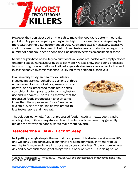



However, they don't just add a 'little' salt to make the food taste better—they really pack it in. Any person regularly eating a diet high in processed foods is ingesting far more salt than the U.S. Recommended Daily Allowance says is necessary. Excessive sodium consumption has been linked to lower testosterone production along with a number of dangerous health conditions including hypertension and heart disease.

Refined sugars have absolutely no nutritional value and are loaded with empty calories that don't satisfy hunger, causing us to eat more. We also know that eating processed foods with high concentrations of refined sugars slashes testosterone production and raises the body's glycemic response—a key indicator of blood sugar levels.

In a university study, six healthy volunteers ingested 50 gram carbohydrate portions of three unprocessed foods (boiled rice, sweet corn and potato) and six processed foods (corn flakes, corn chips, instant potato, potato crisps, instant rice and rice cakes). The results showed that the processed foods produced a higher glycemic index than the unprocessed foods.<sup>1</sup> And when glycemic levels are high, the body is producing less testosterone and more fat.



The solution: eat whole, fresh, unprocessed foods including meats, poultry, fish, whole grains, fruits and vegetables. Avoid low-fat foods because they generally replace the fat with salt and sugar to make them flavorful.

## **Testosterone Killer #2: Lack of Sleep**

Not getting enough sleep is the second most powerful testosterone killer—and it's one we bring upon ourselves. In our fight to reclaim our masculinity, many of us men try to fit more and more into our already busy daily lives. To pack more into our day and accomplish more great things, we cut back on sleep. But in doing so, we

<sup>1</sup> Brand JC, Nicholson PL, Thorburn AW, Truswell AS. Food processing and the glycemic index. Am J Clin Nutr 1985;42:1192–6.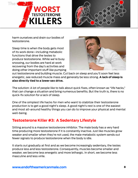



harm ourselves and drain our bodies of testosterone.

Sleep time is when the body gets most of its work done—including metabolic functions that drive the testes to produce testosterone. While we're busy snoozing, our bodies are hard at work recovering from the day's activities and doing other important stuff like pumping



out testosterone and building muscle. Cut back on sleep and you'll soon feel less energetic, see reduced muscle mass and generally be less strong. **A lack of sleep is also directly tied to a lower sex drive.** 

The solution: A lot of people like to talk about quick fixes, often known as "life hacks," that can change a situation and bring numerous benefits. But the truth is, there is no quick-fix solution for a lack of sleep.

One of the simplest life hacks for men who want to stabilize their testosterone production is to get a good night's sleep. A good night's rest is one of the easiest and most all-around healthy things you can do to improve your physical and mental well-being.

### **Testosterone Killer #3: A Sedentary Lifestyle**

Sitting around is a massive testosterone inhibitor. The male body has a very hard time producing more testosterone if it is constantly inactive. Just like muscles grow weaker and smaller when they're not used, the male metabolic system sends out fewer signals to produce testosterone when the body is idle.

It starts out gradually at first and as we become increasingly sedentary, the testes produce less and less testosterone. Consequently, muscles become smaller and weaker, we become less energetic and more lethargic. In short, we become less masculine and less virile.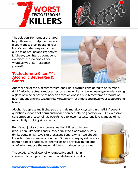



The solution: Remember that God helps those who help themselves. If you want to start boosting your body's testosterone production, quit sitting around and get active! Lift heavy weights, do compound exercises, run, do cross-fit or whatever you like—just push yourself.

#### **Testosterone Killer #4: Alcoholic Beverages & Sodas**



Another one of the biggest testosterone killers is often considered to be "a man's drink." Alcohol actually reduces testosterone while increasing estrogen levels. Having a glass of wine or bottle of beer on occasion doesn't hurt testosterone production, but frequent drinking will definitely have harmful effects and lower your testosterone levels.

Alcohol is depressant. It changes the male metabolic system. In small, infrequent quantities, it does not harm and in fact, can actually be good for you. But excessive consumption of alcohol has been linked to lower testosterone levels and all of its masculinity-robbing side effects.

But it's not just alcoholic beverages that kill testosterone production—it's sodas and sugary drinks too. Sodas and sugary drinks contain high levels of processed sugars, which we already know hurt testosterone production. Sodas and sugary drinks also contain a host of additives, chemicals and artificial ingredients all of which reduce the male's ability to produce testosterone.

The solution: Avoid alcohol when possible and limiting consumption is a good idea. You should also avoid sodas—

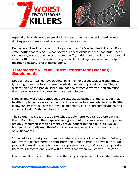



especially diet sodas—and sugary drinks. Instead, drink plain water. It's healthy and drinking plenty of water can boost testosterone production.

But be careful and try to avoid drinking water from BPA-laden plastic bottles. Plastic water bottles containing BPA can secrete xenoestrogens into their contents. These raise estrogen levels and lower testosterone. Try to drink out of a glass or use a metal water bottle whenever possible. Doing so can limit estrogen exposure and help maintain a healthy level of testosterone.

#### **Testosterone Killer #5: Most Testosterone Boosting Supplements**

Supplement companies have been conning men for decades. Muscle and fitness type magazines love to showcase the latest miracle compound for men. They show a glossy picture of a bodybuilder surrounded by attractive women, and advertise themselves as a magic cure-all for male health issues.

In reality many of these compounds are actually dangerous for men. A lot of male health supplements are ineffective, poorly researched and manufactured with little, if any, quality control. They can lower testosterone, cause heart complications, and create all kinds of other unpleasant issues.

The solution: It is best to look into what supplements you take before buying them. Don't buy into they hype and recognize that most supplement companies are only interested in making money off your quest to find a quick fix. Do your homework, actually read the information on supplement bottles, not just the advertisements.

You want to support your natural testosterone levels not replace them. When you take synthetic testosterone or pro-hormones your body shuts down it's natural production making you reliant on the supplement or drug. Once you stop taking them your testosterone levels will be lower than when you started. Not good.

I recommend a product called [T-Drive](http://www.endoftheamericanmale.com) that supports your natural testosterone levels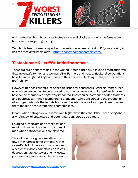



with herbs that both boost your testosterone and blocks estrogen (the female sex hormone) from getting too high.

Watch this free information packed presentation where I explain, *"Why we are simply half the men our fathers were."* [http://endoftheamericanmale.com/](http://www.endoftheamericanmale.com)

## **Testosterone Killer #6: Added hormones**

There is a huge debate raging in the United States right now. It involves food additives that are unsafe to men and women alike. Farmers and huge agricultural corporations have been caught adding hormones to their animals. By doing so they can increase profitability.

However, this has caused a lot of health issues for consumers—especially men. Men who weren't expecting to be exposed to hormones from foods like beef and chicken have found themselves negatively impacted. In particular, hormones added to meats and poultries can inhibit testosterone production while encouraging the production of estrogen, which is the female hormone. Elevated levels of estrogen in men cause them to take on more feminine characteristics.

In fact, when estrogen levels in men are higher than they should be, it can bring about a whole slew of unwanted and potentially dangerous side effects.

Enlarged breasts are one of the first and most noticeable side effects to appear in men when estrogen levels are elevated.

This is known as gynecomastia and a few other names in the gym too. Other side effects include loss of muscle tone, a decrease in body hair, shrinking testes, depression, fatigue, lower energy levels, poor memory, low stress tolerance, an

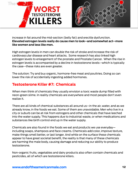



increase in fat around the mid-section (belly fat) and erectile dysfunction. **Elevated estrogen levels really do cause men to look--and somewhat act--more like women and less like men.** 

High estrogen levels in men can double the risk of stroke and increase the risk of cardiovascular disease and heart attacks. Some research has also linked high estrogen levels to enlargement of the prostate and Prostate Cancer. When the rise in estrogen levels is accompanied by a decline in testosterone levels--which is typically the case--these risks are even greater.

The solution: Try and buy organic, hormone-free meat and poultries. Doing so can lower the risk of accidentally ingesting added hormones.

#### **Testosterone Killer #7: Chemicals**

When men think of chemicals they usually envision a toxic waste dump filled with neon-green slime. In reality chemicals are everywhere and most people don't even realize it.

There are all kinds of chemical substances all around us—in the air, water, and as we already know, in the foods we eat. Some of them are unavoidable. Men who live in a city or suburb can be at risk from estrogens and other chemicals that have leeched into the water supply. This happens due to industrial waste, or when medications and substances like birth control end up in the water supply.

Chemicals are also found in the foods we eat and products we use everyday including soaps, shampoos and face creams. Chemicals add color, improve texture, make things smell better, or last longer. And while on the surface these chemicals appear to have great societal benefit, the reality is that many of these chemicals are harming the male body, causing damage and reducing our ability to produce testosterone.

Non-organic fruits, vegetables and dairy products also often contain chemicals and pesticides, all of which are testosterone killers.